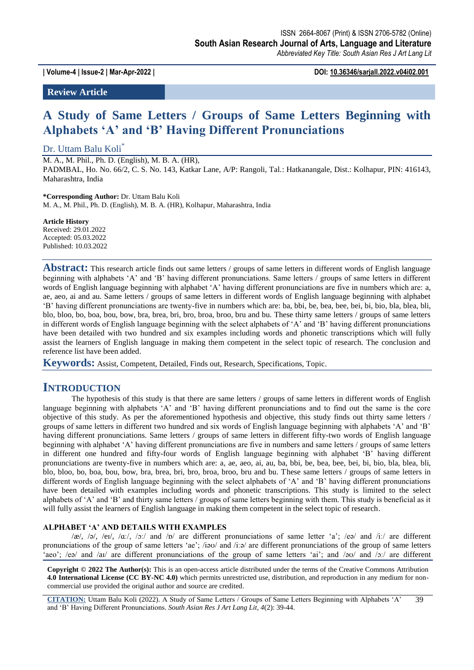**| Volume-4 | Issue-2 | Mar-Apr-2022 | DOI: 10.36346/sarjall.2022.v04i02.001**

**Review Article**

# **A Study of Same Letters / Groups of Same Letters Beginning with Alphabets 'A' and 'B' Having Different Pronunciations**

#### Dr. Uttam Balu Koli<sup>\*</sup>

M. A., M. Phil., Ph. D. (English), M. B. A. (HR), PADMBAL, Ho. No. 66/2, C. S. No. 143, Katkar Lane, A/P: Rangoli, Tal.: Hatkanangale, Dist.: Kolhapur, PIN: 416143, Maharashtra, India

**\*Corresponding Author:** Dr. Uttam Balu Koli M. A., M. Phil., Ph. D. (English), M. B. A. (HR), Kolhapur, Maharashtra, India

**Article History** Received: 29.01.2022 Accepted: 05.03.2022 Published: 10.03.2022

**Abstract:** This research article finds out same letters / groups of same letters in different words of English language beginning with alphabets 'A' and 'B' having different pronunciations. Same letters / groups of same letters in different words of English language beginning with alphabet 'A' having different pronunciations are five in numbers which are: a, ae, aeo, ai and au. Same letters / groups of same letters in different words of English language beginning with alphabet 'B' having different pronunciations are twenty-five in numbers which are: ba, bbi, be, bea, bee, bei, bi, bio, bla, blea, bli, blo, bloo, bo, boa, bou, bow, bra, brea, bri, bro, broa, broo, bru and bu. These thirty same letters / groups of same letters in different words of English language beginning with the select alphabets of 'A' and 'B' having different pronunciations have been detailed with two hundred and six examples including words and phonetic transcriptions which will fully assist the learners of English language in making them competent in the select topic of research. The conclusion and reference list have been added.

**Keywords:** Assist, Competent, Detailed, Finds out, Research, Specifications, Topic.

### **INTRODUCTION**

The hypothesis of this study is that there are same letters / groups of same letters in different words of English language beginning with alphabets 'A' and 'B' having different pronunciations and to find out the same is the core objective of this study. As per the aforementioned hypothesis and objective, this study finds out thirty same letters / groups of same letters in different two hundred and six words of English language beginning with alphabets 'A' and 'B' having different pronunciations. Same letters / groups of same letters in different fifty-two words of English language beginning with alphabet 'A' having different pronunciations are five in numbers and same letters / groups of same letters in different one hundred and fifty-four words of English language beginning with alphabet 'B' having different pronunciations are twenty-five in numbers which are: a, ae, aeo, ai, au, ba, bbi, be, bea, bee, bei, bi, bio, bla, blea, bli, blo, bloo, bo, boa, bou, bow, bra, brea, bri, bro, broa, broo, bru and bu. These same letters / groups of same letters in different words of English language beginning with the select alphabets of 'A' and 'B' having different pronunciations have been detailed with examples including words and phonetic transcriptions. This study is limited to the select alphabets of 'A' and 'B' and thirty same letters / groups of same letters beginning with them. This study is beneficial as it will fully assist the learners of English language in making them competent in the select topic of research.

#### **ALPHABET 'A' AND DETAILS WITH EXAMPLES**

 $\alpha/$ æ $\alpha$ ,  $\beta$ ,  $\beta$ <sub>1</sub>,  $\alpha$ <sub>1</sub>,  $\beta$ <sub>2</sub>, and  $\beta$ <sub>p</sub> are different pronunciations of same letter 'a';  $\beta$ e<sup>2</sup> and  $\beta$ <sub>1</sub>; are different pronunciations of the group of same letters 'ae'; /iəʊ/ and /iːə/ are different pronunciations of the group of same letters 'aeo'; /eə/ and /aɪ/ are different pronunciations of the group of same letters 'ai'; and /əʊ/ and /ɔː/ are different

**Copyright © 2022 The Author(s):** This is an open-access article distributed under the terms of the Creative Commons Attribution **4.0 International License (CC BY-NC 4.0)** which permits unrestricted use, distribution, and reproduction in any medium for noncommercial use provided the original author and source are credited.

**CITATION:** Uttam Balu Koli (2022). A Study of Same Letters / Groups of Same Letters Beginning with Alphabets 'A' and 'B' Having Different Pronunciations. *South Asian Res J Art Lang Lit, 4*(2): 39-44. 39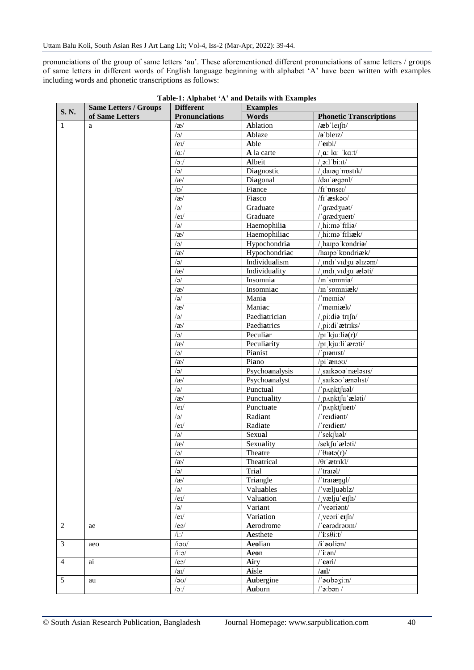pronunciations of the group of same letters 'au'. These aforementioned different pronunciations of same letters / groups of same letters in different words of English language beginning with alphabet 'A' have been written with examples including words and phonetic transcriptions as follows:

| <b>S. N.</b>   | <b>Same Letters / Groups</b> | <b>Different</b>      | <b>Examples</b> |                                       |
|----------------|------------------------------|-----------------------|-----------------|---------------------------------------|
|                | of Same Letters              | <b>Pronunciations</b> | Words           | <b>Phonetic Transcriptions</b>        |
| $\mathbf{1}$   | a                            | $\alpha$              | Ablation        | $/$ æb'leɪ $\int n/$                  |
|                |                              | $\sqrt{e}$            | Ablaze          | /a'bleiz/                             |
|                |                              | /el/                  | Able            | $/$ erbl $/$                          |
|                |                              | $/\alpha$ :/          | A la carte      | $\alpha$ : la: 'ka:t/                 |
|                |                              | $/2$ :/               | Albeit          | $\mathbf{c}$ :1'bi:1t/                |
|                |                              | $\sqrt{e}$            | Diagnostic      | darag nostik/                         |
|                |                              | $\alpha$              | Diagonal        | /dai ægənl/                           |
|                |                              | /b/                   | Fiance          | $\overline{\text{f}}$ inser           |
|                |                              | $/\mathfrak{F}/$      | Fiasco          | /fi'æskao/                            |
|                |                              | $\sqrt{e}$            | Graduate        | /'grædzuat/                           |
|                |                              | /eI/                  | Graduate        | /'grædzuert/                          |
|                |                              | $\sqrt{e}$            | Haemophilia     | /hi:mə filiə/                         |
|                |                              | $\alpha$              | Haemophiliac    | /hi:mə filiæk/                        |
|                |                              | $\sqrt{e}$            | Hypochondria    | /harpa kondria/                       |
|                |                              | $\alpha$              | Hypochondriac   | /harpa kondriæk/                      |
|                |                              | $\sqrt{a}$            | Individualism   | / indi'vidzu alizam/                  |
|                |                              | $\alpha$              | Individuality   | / indi vidzu ælati/                   |
|                |                              | /a                    | Insomnia        | $\overline{\text{/m}}$ 'spmnia/       |
|                |                              | $\alpha$              | Insomniac       | /in spmniæk/                          |
|                |                              | $\sqrt{e}$            | Mania           | $/$ memia $/$                         |
|                |                              | $\alpha$              | Maniac          | /'memiæk/                             |
|                |                              | /a                    | Paediatrician   | / pi:dia trifn/                       |
|                |                              | $\alpha$              | Paediatrics     | / pi:di aetriks/                      |
|                |                              | $\sqrt{a}$            | Peculiar        | $/pi$ 'kju:li $\mathfrak{g}(r)$       |
|                |                              | $\alpha$              | Peculiarity     | /pi kju:li ærəti/                     |
|                |                              | $\sqrt{e}$            | Pianist         | /'pianist/                            |
|                |                              | $\alpha$              | Piano           | /pi'ænou/                             |
|                |                              | /a                    | Psychoanalysis  | saikooa'nælosis/                      |
|                |                              | $\alpha$              | Psychoanalyst   | saikou aenolist/                      |
|                |                              | $\sqrt{a}$            | Punctual        | /'pʌŋktfuəl/                          |
|                |                              | $\alpha$              | Punctuality     | / panktfu ælati/                      |
|                |                              | $/e$ I $/$            | Punctuate       | /'p^nktfuert/                         |
|                |                              | $\sqrt{e}$            | Radiant         | /'reidiant/                           |
|                |                              | $/e$ I $/$            | Radiate         | /'reidieit/                           |
|                |                              | $\sqrt{e}$            | Sexual          | /'sekfuəl/                            |
|                |                              | $\alpha$              | Sexuality       | /sekfu aelati/                        |
|                |                              | $\sqrt{a}$            | Theatre         | $/$ $\theta$ iətə $(r)$ /             |
|                |                              | /æ/                   | Theatrical      | $\sqrt{\theta_I}$ ætrikl/             |
|                |                              | $\sqrt{a}$            | Trial           | $/$ 'tranal $/$                       |
|                |                              | /æ/                   | Triangle        | /' $\text{tra} \mathbf{i}$ ængl/      |
|                |                              | /a                    | Valuables       | / væljuablz/                          |
|                |                              | $/e$ I $/$            | Valuation       | / vælju $erfn/$                       |
|                |                              | /a                    | Variant         | /'veariant/                           |
|                |                              | $/e$ I $/$            | Variation       | / veəri $erfn/$                       |
| $\overline{2}$ | ae                           | /eq/                  | Aerodrome       | $/$ earadraum/                        |
|                |                              | $/i$ :/               | Aesthete        | $\sqrt{i}$ :s $\theta$ i:t $\sqrt{i}$ |
| $\mathfrak{Z}$ | aeo                          | $/i$ au/              | Aeolian         | /i aulion/                            |
|                |                              | $/i:\mathsf{a}/$      | Aeon            | $i$ : $an/$                           |
| $\overline{4}$ | ai                           | /ea/                  | Airy            | $/$ eəri $/$                          |
|                |                              | /au/                  | Aisle           | /ail/                                 |
| 5              | au                           | /20/                  | Aubergine       | /'aubazi:n/                           |
|                |                              | /2                    | Auburn          | $/$ ' $\sigma$ :bən /                 |
|                |                              |                       |                 |                                       |

**Table-1: Alphabet 'A' and Details with Examples**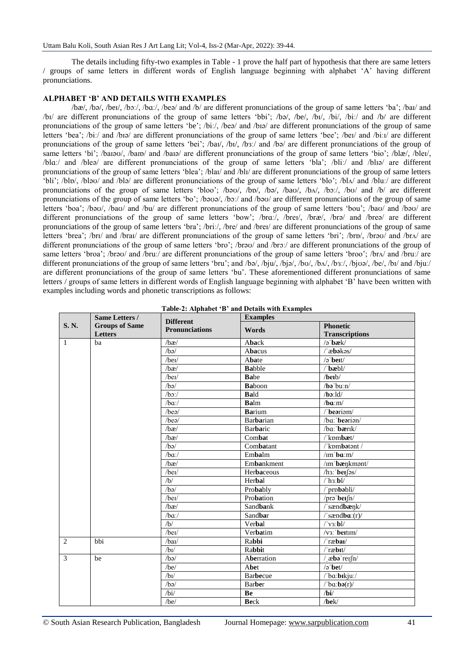The details including fifty-two examples in Table - 1 prove the half part of hypothesis that there are same letters / groups of same letters in different words of English language beginning with alphabet 'A' having different pronunciations.

#### **ALPHABET 'B' AND DETAILS WITH EXAMPLES**

/bæ/, /bə/, /beɪ/, /bɔː/, /bɑː/, /beə/ and /b/ are different pronunciations of the group of same letters 'ba'; /baɪ/ and /bɪ/ are different pronunciations of the group of same letters 'bbi'; /bə/, /be/, /bɪ/, /bi/, /biː/ and /b/ are different pronunciations of the group of same letters 'be'; /biː/, /beə/ and /bɪə/ are different pronunciations of the group of same letters 'bea'; /biː/ and /bɪə/ are different pronunciations of the group of same letters 'bee'; /beɪ/ and /biːɪ/ are different pronunciations of the group of same letters 'bei'; /bai/, /bi/, /bɜː/ and /bə/ are different pronunciations of the group of same letters 'bi'; /baɪəʊ/, /baɪɒ/ and /baɪə/ are different pronunciations of the group of same letters 'bio'; /blæ/, /bleɪ/, /blɑː/ and /bleə/ are different pronunciations of the group of same letters 'bla'; /bliː/ and /blɪə/ are different pronunciations of the group of same letters 'blea'; /blaɪ/ and /blɪ/ are different pronunciations of the group of same letters 'bli'; /blɒ/, /bləʊ/ and /blə/ are different pronunciations of the group of same letters 'blo'; /blʌ/ and /bluː/ are different pronunciations of the group of same letters 'bloo'; /bəʊ/, /bp/, /bə/, /ba/, /b $\alpha$ /, /bɔː/, /bʊ/ and /b/ are different pronunciations of the group of same letters 'bo'; /bəʊə/, /bɔː/ and /bəʊ/ are different pronunciations of the group of same letters 'boa'; /bəʊ/, /baʊ/ and /bu/ are different pronunciations of the group of same letters 'bou'; /baʊ/ and /bəʊ/ are different pronunciations of the group of same letters 'bow'; /brɑː/, /breɪ/, /bræ/, /brə/ and /breə/ are different pronunciations of the group of same letters 'bra'; /briː/, /bre/ and /breɪ/ are different pronunciations of the group of same letters 'brea'; /brɪ/ and /braɪ/ are different pronunciations of the group of same letters 'bri'; /brɒ/, /brəʊ/ and /brʌ/ are different pronunciations of the group of same letters 'bro'; /brəʊ/ and /brɔː/ are different pronunciations of the group of same letters 'broa'; /brəʊ/ and /bruː/ are different pronunciations of the group of same letters 'broo'; /brʌ/ and /bruː/ are different pronunciations of the group of same letters 'bru'; and /bə/, /bju/, /bjə/, /bv/, /bx/, /bju/, /bju/, /be/, /bl/ and /bju:/ are different pronunciations of the group of same letters 'bu'. These aforementioned different pronunciations of same letters / groups of same letters in different words of English language beginning with alphabet 'B' have been written with examples including words and phonetic transcriptions as follows:

|              | Same Letters /<br><b>Groups of Same</b><br>Letters | <b>Different</b><br><b>Pronunciations</b> | <b>Examples</b>  |                                                                    |  |
|--------------|----------------------------------------------------|-------------------------------------------|------------------|--------------------------------------------------------------------|--|
| S. N.        |                                                    |                                           | Words            | <b>Phonetic</b>                                                    |  |
|              |                                                    |                                           |                  | <b>Transcriptions</b>                                              |  |
| $\mathbf{1}$ | ba                                                 | /bæ/                                      | Aback            | $\sqrt{2}$ bæk $\sqrt{2}$                                          |  |
|              |                                                    | /ha/                                      | Abacus           | $/$ $\mathbf{abakos}/$                                             |  |
|              |                                                    | $/$ beī $/$                               | Abate            | $\sqrt{2}$ bert/                                                   |  |
|              |                                                    | /bx/                                      | <b>Babble</b>    | $\prime$ bæbl $\prime$                                             |  |
|              |                                                    | /bei/                                     | Babe             | $/$ berb $/$                                                       |  |
|              |                                                    | /ba/                                      | <b>Baboon</b>    | /ba'bu:n/                                                          |  |
|              |                                                    | $/bo$ :/                                  | Bald             | $/b$ :ld/                                                          |  |
|              |                                                    | $/ba$ :/                                  | Balm             | $/ba$ :m $/$                                                       |  |
|              |                                                    | $/$ bea $/$                               | <b>Barium</b>    | $/$ beariam $/$                                                    |  |
|              |                                                    | $/$ beə $/$                               | <b>Barbarian</b> | /ba: bearion/                                                      |  |
|              |                                                    | /bx/                                      | Barbaric         | /ba:'bærik/                                                        |  |
|              |                                                    | /bx/                                      | Combat           | /'kpmbæt/                                                          |  |
|              |                                                    | /ba/                                      | Combatant        | /'kombatant /                                                      |  |
|              |                                                    | $/ba$ :/                                  | Embalm           | /im'ba:m/                                                          |  |
|              |                                                    | /bx/                                      | Embankment       | /im'bænkmont/                                                      |  |
|              |                                                    | /bei/                                     | Herbaceous       | /hз: berfəs/                                                       |  |
|              |                                                    | /b/                                       | Herbal           | /'hз:bl/                                                           |  |
|              |                                                    | /ba/                                      | Probably         | /'probabli/                                                        |  |
|              |                                                    | $/$ beī $/$                               | Probation        | /pro'berfn/                                                        |  |
|              |                                                    | /bx/                                      | Sandbank         | /'sændbænk/                                                        |  |
|              |                                                    | $/ba$ :/                                  | Sandbar          | $\sqrt{\arctan(ba)(r)}$                                            |  |
|              |                                                    | /b/                                       | Verbal           | $/$ 'vз:bl/                                                        |  |
|              |                                                    | /bei/                                     | Verbatim         | $\sqrt{v_3}$ : beitim/                                             |  |
| 2            | bbi                                                | /baI                                      | Rabbi            | /'ræbai/                                                           |  |
|              |                                                    | /b <sub>I</sub>                           | Rabbit           | $/$ ræbit/                                                         |  |
| 3            | be                                                 | /ba/                                      | Aberration       | $/$ $\alpha$ bə reifn/                                             |  |
|              |                                                    | /be/                                      | Abet             | $\sqrt{2}$ bet/                                                    |  |
|              |                                                    | /b <sub>I</sub>                           | <b>Barbecue</b>  | /'ba:bikju:/                                                       |  |
|              |                                                    | /ba/                                      | <b>Barber</b>    | $\sqrt{\mathbf{b}}\mathbf{a}$ : $\mathbf{b}\mathbf{a}(\mathbf{r})$ |  |
|              |                                                    | /bi/                                      | Be               | /bi/                                                               |  |
|              |                                                    | /be/                                      | <b>Beck</b>      | /bek/                                                              |  |

| Table-2: Alphabet 'B' and Details with Examples |  |  |  |  |  |
|-------------------------------------------------|--|--|--|--|--|
|-------------------------------------------------|--|--|--|--|--|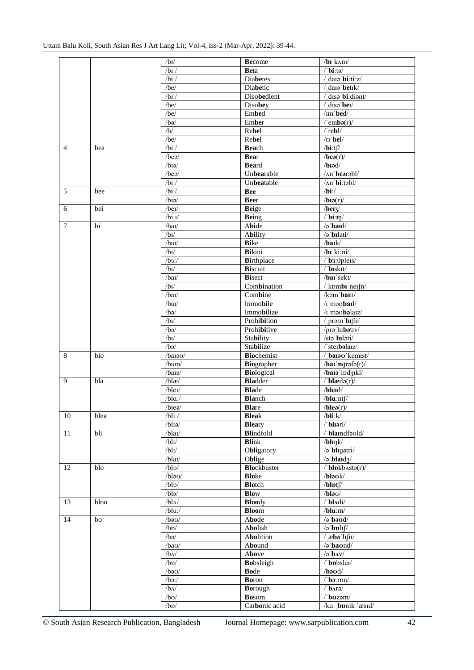|                |                 | /bI/                | <b>Become</b>      | $\sqrt{b}$ r'kam/                       |
|----------------|-----------------|---------------------|--------------------|-----------------------------------------|
|                |                 | $/bi$ :/            | <b>Beta</b>        | /'biːtə/                                |
|                |                 | $/bi$ :/            | <b>Diabetes</b>    | / daio bi:ti:z/                         |
|                |                 | $\sqrt{be}$         | Diabetic           | / data betik/                           |
|                |                 | $/bi$ :/            | Disobedient        | / disə bi:diənt/                        |
|                |                 | /be/                | Disobey            | $/$ disə bei $/$                        |
|                |                 | /be/                | Embed              | $\text{/} \text{rm'}$ bed/              |
|                |                 | /ba/                | Ember              | $/$ 'embə $(r)/$                        |
|                |                 | /b/                 | Rebel              | $/$ rebl $/$                            |
|                |                 | /be/                | Rebel              | $/$ rı' $bel/$                          |
| $\overline{4}$ |                 | $/bi$ :/            |                    |                                         |
|                | bea             |                     | Beach              | $/bi$ :tf/                              |
|                |                 | $/$ beə $/$         | <b>Bear</b>        | $/$ beə $(r)$ /                         |
|                |                 | $/b$ Iə/            | <b>Beard</b>       | $/b$ 19 $d/$                            |
|                |                 | $\sqrt{bea}$        | Unbearable         | /An'bearabl/                            |
|                |                 | $/bi$ :/            | Unbeatable         | /An'bi:təbl/                            |
| 5              | bee             | $/bi$ :/            | <b>Bee</b>         | $/bi$ :/                                |
|                |                 | $/b$ Ia/            | <b>Beer</b>        | /ba(r)/                                 |
| 6              | bei             | /bei/               | <b>Beige</b>       | $/$ berz $/$                            |
|                |                 | /bi:U               | <b>Being</b>       | $\sqrt{\text{bi}:\text{in}}$            |
| $\tau$         | $\overline{bi}$ | /baI/               | Abide              | $\sqrt{2}$ bard/                        |
|                |                 | /bI/                | <b>Ability</b>     | /ə'bıləti/                              |
|                |                 | /baI                | <b>Bike</b>        | /baik/                                  |
|                |                 | /bI/                | <b>Bikini</b>      | /bi ki:ni/                              |
|                |                 | $/b3$ :/            | <b>Birthplace</b>  | $\theta$ b3: $\theta$ pleis             |
|                |                 | /b <sub>I</sub>     | <b>Biscuit</b>     | /'biskit/                               |
|                |                 | /baI                | <b>Bisect</b>      | /bar'sekt/                              |
|                |                 | /b <sub>I</sub>     | Combination        | / kombi neifn/                          |
|                |                 | /baI                | Combine            | /k <sub>9</sub> m'ban/                  |
|                |                 | /baI/               | Immobile           | $\sqrt{I}$ moobail/                     |
|                |                 | /ba/                | Immobilize         | /I'maubalaiz/                           |
|                |                 | /bI/                | Prohibition        | / provi $b$ I $\int$ n/                 |
|                |                 | /ba/                | Prohibitive        | /prə'hıbətıv/                           |
|                |                 | /bI/                |                    |                                         |
|                |                 |                     | Stability          | /stə biləti/                            |
|                |                 | $\sqrt{ba}$         | Stabilize          | /'sterbalarz/                           |
| 8              | bio             | /barau/             | <b>Biochemist</b>  | / barao kemist/                         |
|                |                 | /banb               | Biographer         | $/$ bai' ngrəfə $(r)/$                  |
|                |                 | $/b$ ara/           | <b>Biological</b>  | /bara'lpd31kl/                          |
| 9              | bla             | $/b$ læ $/$         | <b>Bladder</b>     | $\theta$ blædə(r)/                      |
|                |                 | /blei/              | <b>Blade</b>       | /bleid/                                 |
|                |                 | $/ba$ :/            | <b>Blanch</b>      | /bla:nt                                 |
|                |                 | /blea/              | <b>Blare</b>       | $/b$ leə $(r)$ /                        |
| 10             | blea            | $/bli$ :/           | <b>Bleak</b>       | $/b$ li: $k/$                           |
|                |                 | $/b$ lıə/           | <b>Bleary</b>      | /'bliari/                               |
| 11             | bli             | $/b$ laı/           | <b>Blindfold</b>   | /'blaindfaold/                          |
|                |                 | /bl                 | <b>Blink</b>       | $/b$ lınk $/$                           |
|                |                 | /bl                 | Obligatory         | /ə'bligətri/                            |
|                |                 | $/b$ laı/           | Oblige             | $\sqrt{2}$ blaid $\sqrt{2}$             |
| 12             | blo             | $/b\ln$             | <b>Blockbuster</b> | $\theta$ blpkb $\lambda$ stə $(r)$      |
|                |                 | $/b$ lau/           | <b>Bloke</b>       | /blaok/                                 |
|                |                 | /blb/               | <b>Blotch</b>      | $/b$ l $pt$ f/                          |
|                |                 | $/b$ lə/            | <b>Blow</b>        | $/b$ la $U$                             |
| 13             | bloo            | /bl                 | <b>Bloody</b>      | /'bladi/                                |
|                |                 | $/blu$ :/           | <b>Bloom</b>       | /blu:m/                                 |
| 14             | bo              | $/b$ a $U$          | Abode              | $\lambda$ bə $\boldsymbol{\mathrm{od}}$ |
|                |                 |                     |                    |                                         |
|                |                 | /b <sub>D</sub>     | Abolish            | $\sqrt{2}$ boli $\int$                  |
|                |                 | /ba/                | Abolition          | $/$ abo $\ln\left(\frac{n}{2}\right)$   |
|                |                 | $\overline{a}$ bao/ | Abound             | $\sqrt{2}$ baond/                       |
|                |                 | $/b\Lambda$         | Above              | /ә' $b$ лv/                             |
|                |                 | /b <sub>D</sub>     | Bobsleigh          | /'bpbslei/                              |
|                |                 | $/b$ au/            | <b>Bode</b>        | $\sqrt{b}$ od/                          |
|                |                 | $/bo$ :/            | <b>Boron</b>       | $\sqrt{\mathbf{b}}$ .ron/               |
|                |                 | $/b\Lambda$         | Borough            | $\theta$ barə $\theta$                  |
|                |                 | /b <sub>O</sub>     | <b>Bosom</b>       | /'bozam/                                |
|                |                 | /b <sub>D</sub>     | Carbonic acid      | /ka: bonk 'æsid/                        |

© South Asian Research Publication, Bangladesh Journal Homepage: www.sarpublication.com 42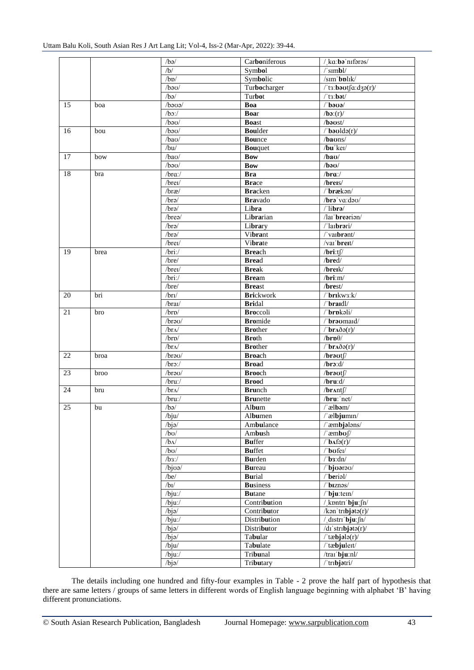|    |      | /ba/                  | Carboniferous    | / ka:bə nıfərəs/                                                             |
|----|------|-----------------------|------------------|------------------------------------------------------------------------------|
|    |      | /b/                   | Symbol           | $/$ 'sımbl $/$                                                               |
|    |      |                       |                  |                                                                              |
|    |      | /bp/                  | Symbolic         | /sim'bplik/                                                                  |
|    |      | $/b$ <sup>20</sup>    | Turbocharger     | /'ta:baotfa:d3a(r)/                                                          |
|    |      | /ba/                  | Turbot           | $l$ 'ts:bət $l$                                                              |
| 15 | boa  | $\beta$ oco/          | Boa              | $\theta$ bəvə $\theta$                                                       |
|    |      | $/bo$ :/              | <b>Boar</b>      | /bx(r)/                                                                      |
|    |      | $/b$ a $U$            | <b>Boast</b>     | $/b$ a $ust/$                                                                |
| 16 | bou  | $/b$ au/              | <b>Boulder</b>   | $\theta$ baoldo(r)                                                           |
|    |      | /bao/                 | <b>Bounce</b>    | /baons/                                                                      |
|    |      | /bu/                  | Bouquet          | $/bu$ 'keı/                                                                  |
| 17 | bow  | /bao/                 | <b>Bow</b>       | $/b$ a $U$                                                                   |
|    |      | $/b$ au/              | <b>Bow</b>       | $/b$ ə $\sigma$ /                                                            |
| 18 | bra  | /bra                  | <b>Bra</b>       | $/$ bra: $/$                                                                 |
|    |      | /brei/                | <b>Brace</b>     | /breis/                                                                      |
|    |      | brx/                  | <b>Bracken</b>   | /'brækon/                                                                    |
|    |      | $\sqrt{bra}$          | <b>Bra</b> vado  | $/$ brə va:də $\sigma/$                                                      |
|    |      | $\sqrt{bra}$          | Libra            | $/$ librə $/$                                                                |
|    |      | /brea/                | Librarian        | /lai brearian/                                                               |
|    |      | $\sqrt{bra}$          | Library          | $\sqrt{\frac{1}{2}}$ larbrəri/                                               |
|    |      | $/br$ ə/              | Vibrant          | /'vaibrant/                                                                  |
|    |      | $/$ brei $/$          | Vibrate          | $\sqrt{v}$ ai' <b>breit</b> /                                                |
|    |      |                       |                  |                                                                              |
| 19 | brea | $/$ bri: $/$          | <b>Breach</b>    | $/$ bri:t $\int$                                                             |
|    |      | /bre/                 | <b>Bread</b>     | /bred/                                                                       |
|    |      | /brei/                | <b>Break</b>     | /breik/ $\,$                                                                 |
|    |      | $/$ bri: $/$          | <b>Bream</b>     | $/$ bri:m $/$                                                                |
|    |      | /bre/                 | <b>Breast</b>    | /brest/                                                                      |
| 20 | bri  | $/br$ I/              | <b>Brickwork</b> | /'brikw3:k/                                                                  |
|    |      | $/$ braı $/$          | <b>Bridal</b>    | /'braidl/                                                                    |
| 21 | bro  | /brp/                 | <b>Broccoli</b>  | /'brpkali/                                                                   |
|    |      | /brau/                | <b>Bromide</b>   | /'braomaid/                                                                  |
|    |      | $/br_{\Lambda}$       | <b>Brother</b>   | $\theta$ braðə(r)                                                            |
|    |      | /brp/                 | <b>Broth</b>     | $/$ br $p\theta/$                                                            |
|    |      | /br $\Lambda$ /       | <b>Brother</b>   | $/$ braðə(r)/                                                                |
| 22 | broa | /brau/                | <b>Broach</b>    | $/$ brə $vt$                                                                 |
|    |      | $/bro$ ./             | <b>Broad</b>     | $/br$ : $d/$                                                                 |
| 23 | broo | /brau/                | <b>Brooch</b>    | $/b$ rə $vt$                                                                 |
|    |      | $/$ bru: $/$          | <b>Brood</b>     | $/$ bru: $d/$                                                                |
| 24 | bru  | /br $\Lambda$ /       | <b>Brunch</b>    | $/$ br $\Lambda$ nt $\int$                                                   |
|    |      | /bru:/                | <b>Brunette</b>  | /bru: 'net/                                                                  |
| 25 | bu   | /ba/                  | Album            | $/$ albom/                                                                   |
|    |      | /bju/                 | Albumen          | /'ælbjumm/                                                                   |
|    |      | $/b$ jə/              | Ambulance        | /'æmbjalans/                                                                 |
|    |      | $/b$ <sub>U</sub> $/$ |                  | $/$ ambo $\int$                                                              |
|    |      |                       | Ambush           |                                                                              |
|    |      | $/b\Lambda$           | <b>Buffer</b>    | $\frac{1}{\sqrt{2}}$ b $\Lambda$ fə $(r)$ /                                  |
|    |      | /b <sub>O</sub>       | <b>Buffet</b>    | /'bofei/                                                                     |
|    |      | $/b3$ :/              | <b>Burden</b>    | $\sqrt{b}$ 3:dn/                                                             |
|    |      | $\frac{1}{\log 2}$    | <b>Bureau</b>    | /'bjoarao/                                                                   |
|    |      | /be/                  | <b>Burial</b>    | /'berial/                                                                    |
|    |      | /bI/                  | <b>Business</b>  | biznas/                                                                      |
|    |      | $/bju$ :/             | <b>Butane</b>    | $/$ bju:tem/                                                                 |
|    |      | $/b$ ju:/             | Contribution     | $\sqrt{\text{km}}$ tri bju: $\int n$                                         |
|    |      | $/b$ jə $/$           | Contributor      | $\frac{1}{\sqrt{2}}$ /kən $\frac{1}{\sqrt{2}}$ tribjətə $\frac{1}{\sqrt{2}}$ |
|    |      | $/b$ ju:/             | Distribution     | / distri bju: $\int$ n/                                                      |
|    |      | $/b$ jə $/$           | Distributor      | $/dt$ 'stribjata $(r)/$                                                      |
|    |      | $/b$ jə $/$           | Tabular          | $/$ 'tæbjələ(r)/                                                             |
|    |      | /bju/                 | Tabulate         | /'tæbjuleɪt/                                                                 |
|    |      | $/bju$ :/             | Tribunal         | $/$ trai bju:nl $/$                                                          |
|    |      | $/b$ jə $/$           | Tributary        | /'tribjatri/                                                                 |
|    |      |                       |                  |                                                                              |

The details including one hundred and fifty-four examples in Table - 2 prove the half part of hypothesis that there are same letters / groups of same letters in different words of English language beginning with alphabet 'B' having different pronunciations.